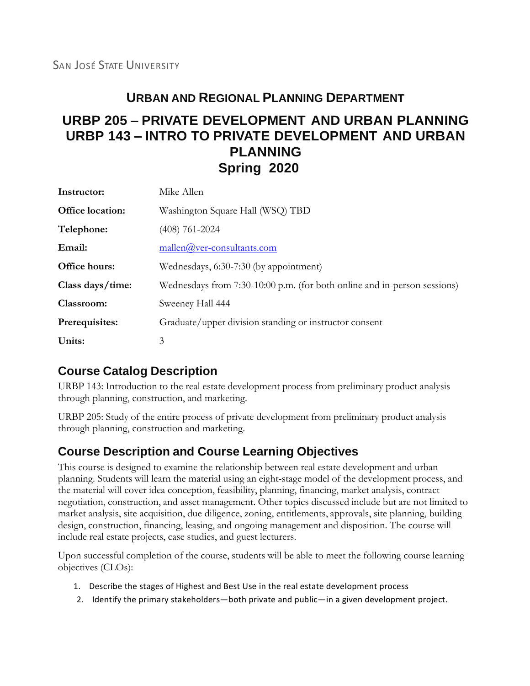# **URBAN AND REGIONAL PLANNING DEPARTMENT**

# **URBP 205 – PRIVATE DEVELOPMENT AND URBAN PLANNING URBP 143 – INTRO TO PRIVATE DEVELOPMENT AND URBAN PLANNING Spring 2020**

| Instructor:             | Mike Allen                                                               |  |  |
|-------------------------|--------------------------------------------------------------------------|--|--|
| <b>Office location:</b> | Washington Square Hall (WSQ) TBD                                         |  |  |
| Telephone:              | $(408)$ 761-2024                                                         |  |  |
| Email:                  | mallen@ver-consultants.com                                               |  |  |
| Office hours:           | Wednesdays, 6:30-7:30 (by appointment)                                   |  |  |
| Class days/time:        | Wednesdays from 7:30-10:00 p.m. (for both online and in-person sessions) |  |  |
| Classroom:              | Sweeney Hall 444                                                         |  |  |
| Prerequisites:          | Graduate/upper division standing or instructor consent                   |  |  |
| Units:                  | 3                                                                        |  |  |

# **Course Catalog Description**

URBP 143: Introduction to the real estate development process from preliminary product analysis through planning, construction, and marketing.

URBP 205: Study of the entire process of private development from preliminary product analysis through planning, construction and marketing.

# **Course Description and Course Learning Objectives**

This course is designed to examine the relationship between real estate development and urban planning. Students will learn the material using an eight-stage model of the development process, and the material will cover idea conception, feasibility, planning, financing, market analysis, contract negotiation, construction, and asset management. Other topics discussed include but are not limited to market analysis, site acquisition, due diligence, zoning, entitlements, approvals, site planning, building design, construction, financing, leasing, and ongoing management and disposition. The course will include real estate projects, case studies, and guest lecturers.

Upon successful completion of the course, students will be able to meet the following course learning objectives (CLOs):

- 1. Describe the stages of Highest and Best Use in the real estate development process
- 2. Identify the primary stakeholders—both private and public—in a given development project.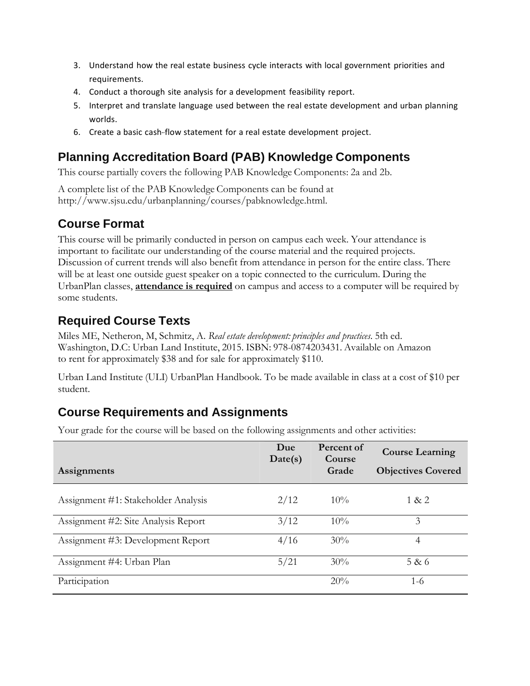- 3. Understand how the real estate business cycle interacts with local government priorities and requirements.
- 4. Conduct a thorough site analysis for a development feasibility report.
- 5. Interpret and translate language used between the real estate development and urban planning worlds.
- 6. Create a basic cash-flow statement for a real estate development project.

# **Planning Accreditation Board (PAB) Knowledge Components**

This course partially covers the following PAB Knowledge Components: 2a and 2b.

A complete list of the PAB Knowledge Components can be found at [http://www.sjsu.edu/urbanplanning/courses/pabknowledge.html.](http://www.sjsu.edu/urbanplanning/courses/pabknowledge.html)

# **Course Format**

This course will be primarily conducted in person on campus each week. Your attendance is important to facilitate our understanding of the course material and the required projects. Discussion of current trends will also benefit from attendance in person for the entire class. There will be at least one outside guest speaker on a topic connected to the curriculum. During the UrbanPlan classes, **attendance is required** on campus and access to a computer will be required by some students.

# **Required Course Texts**

Miles ME, Netheron, M, Schmitz, A. *Real estate development: principles and practices*. 5th ed. Washington, D.C: Urban Land Institute, 2015. ISBN: 978-0874203431. Available on Amazon to rent for approximately \$38 and for sale for approximately \$110.

Urban Land Institute (ULI) UrbanPlan Handbook. To be made available in class at a cost of \$10 per student.

# **Course Requirements and Assignments**

Your grade for the course will be based on the following assignments and other activities:

| <b>Assignments</b>                  | Due<br>Date(s) | Percent of<br>Course<br>Grade | <b>Course Learning</b><br><b>Objectives Covered</b> |
|-------------------------------------|----------------|-------------------------------|-----------------------------------------------------|
| Assignment #1: Stakeholder Analysis | 2/12           | $10\%$                        | 1 & 2                                               |
| Assignment #2: Site Analysis Report | 3/12           | $10\%$                        | 3                                                   |
| Assignment #3: Development Report   | 4/16           | 30%                           | 4                                                   |
| Assignment #4: Urban Plan           | 5/21           | 30%                           | 5 & 6                                               |
| Participation                       |                | 20%                           | $1-6$                                               |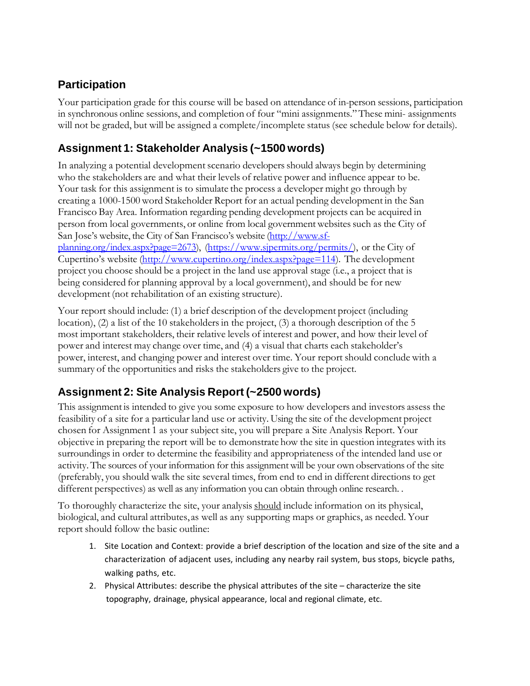### **Participation**

Your participation grade for this course will be based on attendance of in-person sessions, participation in synchronous online sessions, and completion of four "mini assignments."These mini- assignments will not be graded, but will be assigned a complete/incomplete status (see schedule below for details).

### **Assignment 1: Stakeholder Analysis (~1500 words)**

In analyzing a potential development scenario developers should always begin by determining who the stakeholders are and what their levels of relative power and influence appear to be. Your task for this assignment is to simulate the process a developer might go through by creating a 1000-1500 word Stakeholder Report for an actual pending development in the San Francisco Bay Area. Information regarding pending development projects can be acquired in person from local governments, or online from local government websites such as the City of San Jose's website, the City of San Francisco's website (http://www.sfplanning.org/index.aspx?page=2673), (http[s://www.sjpermits.org/permits/\),](http://www.sjpermits.org/permits/)) or the City of Cupertino's website [\(http://www.cupertino.org/index.aspx?page=114\).](http://www.cupertino.org/index.aspx?page=114)) The development project you choose should be a project in the land use approval stage (i.e., a project that is being considered for planning approval by a local government), and should be for new development (not rehabilitation of an existing structure).

Your report should include: (1) a brief description of the development project (including location), (2) a list of the 10 stakeholdersin the project, (3) a thorough description of the 5 most important stakeholders, their relative levels of interest and power, and how their level of power and interest may change over time, and (4) a visual that charts each stakeholder's power, interest, and changing power and interest over time. Your report should conclude with a summary of the opportunities and risks the stakeholders give to the project.

# **Assignment 2: Site Analysis Report (~2500 words)**

This assignment is intended to give you some exposure to how developers and investors assess the feasibility of a site for a particular land use or activity. Using the site of the development project chosen for Assignment 1 as your subject site, you will prepare a Site Analysis Report. Your objective in preparing the report will be to demonstrate how the site in question integrates with its surroundings in order to determine the feasibility and appropriateness of the intended land use or activity. The sources of your information for this assignmentwill be your own observations of the site (preferably, you should walk the site several times, from end to end in different directions to get different perspectives) as well as any information you can obtain through online research. .

To thoroughly characterize the site, your analysis should include information on its physical, biological, and cultural attributes, as well as any supporting maps or graphics, as needed. Your report should follow the basic outline:

- 1. Site Location and Context: provide a brief description of the location and size of the site and a characterization of adjacent uses, including any nearby rail system, bus stops, bicycle paths, walking paths, etc.
- 2. Physical Attributes: describe the physical attributes of the site characterize the site topography, drainage, physical appearance, local and regional climate, etc.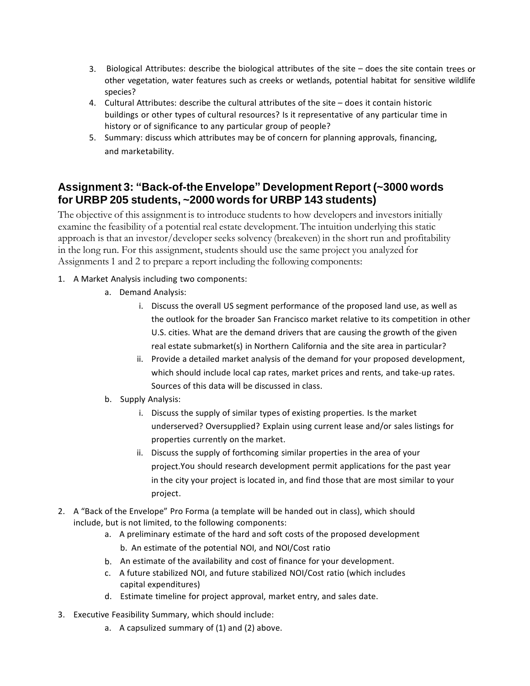- 3. Biological Attributes: describe the biological attributes of the site does the site contain trees or other vegetation, water features such as creeks or wetlands, potential habitat for sensitive wildlife species?
- 4. Cultural Attributes: describe the cultural attributes of the site does it contain historic buildings or other types of cultural resources? Is it representative of any particular time in history or of significance to any particular group of people?
- 5. Summary: discuss which attributes may be of concern for planning approvals, financing, and marketability.

### **Assignment 3: "Back-of-the Envelope" Development Report (~3000 words for URBP 205 students, ~2000 words for URBP 143 students)**

The objective of this assignment is to introduce students to how developers and investors initially examine the feasibility of a potential real estate development.The intuition underlying this static approach is that an investor/developer seeks solvency (breakeven) in the short run and profitability in the long run. For this assignment, students should use the same project you analyzed for Assignments 1 and 2 to prepare a report including the following components:

- 1. A Market Analysis including two components:
	- a. Demand Analysis:
		- i. Discuss the overall US segment performance of the proposed land use, as well as the outlook for the broader San Francisco market relative to its competition in other U.S. cities. What are the demand drivers that are causing the growth of the given real estate submarket(s) in Northern California and the site area in particular?
		- ii. Provide a detailed market analysis of the demand for your proposed development, which should include local cap rates, market prices and rents, and take-up rates. Sources of this data will be discussed in class.
	- b. Supply Analysis:
		- i. Discuss the supply of similar types of existing properties. Is the market underserved? Oversupplied? Explain using current lease and/or sales listings for properties currently on the market.
		- ii. Discuss the supply of forthcoming similar properties in the area of your project.You should research development permit applications for the past year in the city your project is located in, and find those that are most similar to your project.
- 2. A "Back of the Envelope" Pro Forma (a template will be handed out in class), which should include, but is not limited, to the following components:
	- a. A preliminary estimate of the hard and soft costs of the proposed development
		- b. An estimate of the potential NOI, and NOI/Cost ratio
	- b. An estimate of the availability and cost of finance for your development.
	- c. A future stabilized NOI, and future stabilized NOI/Cost ratio (which includes capital expenditures)
	- d. Estimate timeline for project approval, market entry, and sales date.
- 3. Executive Feasibility Summary, which should include:
	- a. A capsulized summary of (1) and (2) above.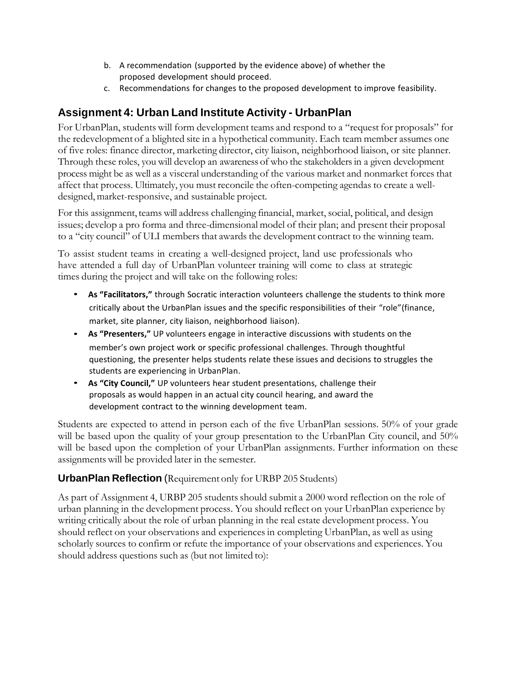- b. A recommendation (supported by the evidence above) of whether the proposed development should proceed.
- c. Recommendations for changes to the proposed development to improve feasibility.

### **Assignment 4: Urban Land Institute Activity - UrbanPlan**

For UrbanPlan, students will form development teams and respond to a "request for proposals" for the redevelopment of a blighted site in a hypothetical community. Each team member assumes one of five roles: finance director, marketing director, city liaison, neighborhood liaison, or site planner. Through these roles, you will develop an awareness of who the stakeholdersin a given development process might be as well as a visceral understanding of the various market and nonmarket forces that affect that process. Ultimately, you must reconcile the often-competing agendas to create a welldesigned, market-responsive, and sustainable project.

For this assignment, teams will address challenging financial, market, social, political, and design issues; develop a pro forma and three-dimensional model of their plan; and present their proposal to a "city council" of ULI members that awards the development contract to the winning team.

To assist student teams in creating a well-designed project, land use professionals who have attended a full day of UrbanPlan volunteer training will come to class at strategic times during the project and will take on the following roles:

- **As "Facilitators,"** through Socratic interaction volunteers challenge the students to think more critically about the UrbanPlan issues and the specific responsibilities of their "role"(finance, market, site planner, city liaison, neighborhood liaison).
- **As "Presenters,"** UP volunteers engage in interactive discussions with students on the member's own project work or specific professional challenges. Through thoughtful questioning, the presenter helps students relate these issues and decisions to struggles the students are experiencing in UrbanPlan.
- **As "City Council,"** UP volunteers hear student presentations, challenge their proposals as would happen in an actual city council hearing, and award the development contract to the winning development team.

Students are expected to attend in person each of the five UrbanPlan sessions. 50% of your grade will be based upon the quality of your group presentation to the UrbanPlan City council, and 50% will be based upon the completion of your UrbanPlan assignments. Further information on these assignmentswill be provided later in the semester.

#### **UrbanPlan Reflection** (Requirement only for URBP 205 Students)

As part of Assignment 4, URBP 205 students should submit a 2000 word reflection on the role of urban planning in the development process. You should reflect on your UrbanPlan experience by writing critically about the role of urban planning in the real estate development process. You should reflect on your observations and experiences in completing UrbanPlan, as well as using scholarly sources to confirm or refute the importance of your observations and experiences. You should address questions such as (but not limited to):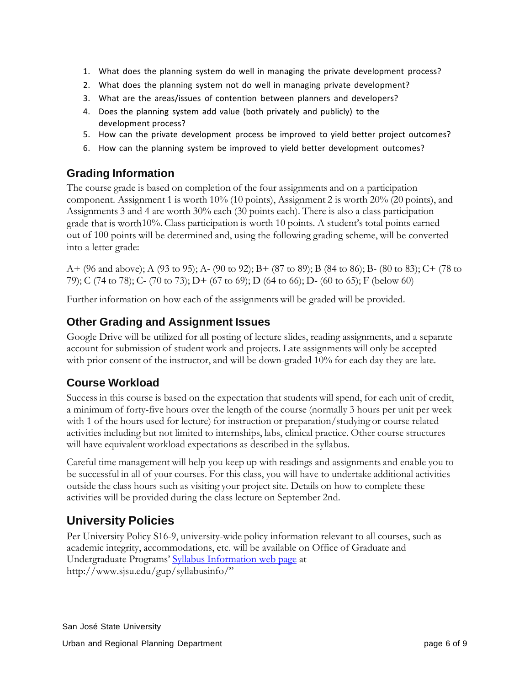- 1. What does the planning system do well in managing the private development process?
- 2. What does the planning system not do well in managing private development?
- 3. What are the areas/issues of contention between planners and developers?
- 4. Does the planning system add value (both privately and publicly) to the development process?
- 5. How can the private development process be improved to yield better project outcomes?
- 6. How can the planning system be improved to yield better development outcomes?

### **Grading Information**

The course grade is based on completion of the four assignments and on a participation component. Assignment 1 is worth 10% (10 points), Assignment 2 is worth 20% (20 points), and Assignments 3 and 4 are worth 30% each (30 points each). There is also a class participation grade that is worth10%. Class participation is worth 10 points. A student's total points earned out of 100 points will be determined and, using the following grading scheme, will be converted into a letter grade:

A+ (96 and above); A (93 to 95); A- (90 to 92); B+ (87 to 89); B (84 to 86); B- (80 to 83); C+ (78 to 79); C (74 to 78); C- (70 to 73); D+ (67 to 69); D (64 to 66); D- (60 to 65); F (below 60)

Further information on how each of the assignments will be graded will be provided.

#### **Other Grading and Assignment Issues**

Google Drive will be utilized for all posting of lecture slides, reading assignments, and a separate account for submission of student work and projects. Late assignments will only be accepted with prior consent of the instructor, and will be down-graded 10% for each day they are late.

### **Course Workload**

Success in this course is based on the expectation that students will spend, for each unit of credit, a minimum of forty-five hours over the length of the course (normally 3 hours per unit per week with 1 of the hours used for lecture) for instruction or preparation/studying or course related activities including but not limited to internships, labs, clinical practice. Other course structures will have equivalent workload expectations as described in the syllabus.

Careful time management will help you keep up with readings and assignments and enable you to be successful in all of your courses. For this class, you will have to undertake additional activities outside the class hours such as visiting your project site. Details on how to complete these activities will be provided during the class lecture on September 2nd.

# **University Policies**

Per University Policy S16-9, university-wide policy information relevant to all courses, such as academic integrity, accommodations, etc. will be available on Office of Graduate and Undergraduate Programs' Syllabus Information web page a[t](http://www.sjsu.edu/gup/syllabusinfo/%E2%80%9D) [http://www.sjsu.edu/gup/syllabusinfo/"](http://www.sjsu.edu/gup/syllabusinfo/%E2%80%9D)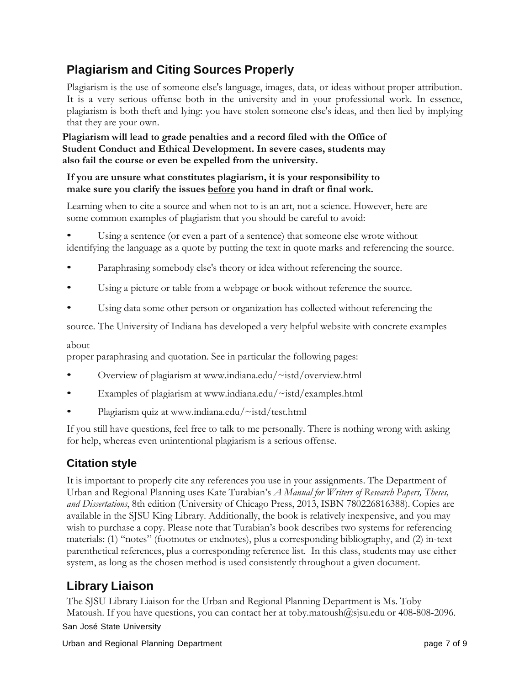# **Plagiarism and Citing Sources Properly**

Plagiarism is the use of someone else's language, images, data, or ideas without proper attribution. It is a very serious offense both in the university and in your professional work. In essence, plagiarism is both theft and lying: you have stolen someone else's ideas, and then lied by implying that they are your own.

#### **Plagiarism will lead to grade penalties and a record filed with the Office of Student Conduct and Ethical Development. In severe cases, students may also fail the course or even be expelled from the university.**

#### **If you are unsure what constitutes plagiarism, it is your responsibility to make sure you clarify the issues before you hand in draft or final work.**

Learning when to cite a source and when not to is an art, not a science. However, here are some common examples of plagiarism that you should be careful to avoid:

Using a sentence (or even a part of a sentence) that someone else wrote without identifying the language as a quote by putting the text in quote marks and referencing the source.

- Paraphrasing somebody else's theory or idea without referencing the source.
- Using a picture or table from a webpage or book without reference the source.
- Using data some other person or organization has collected without referencing the

source. The University of Indiana has developed a very helpful website with concrete examples

#### about

proper paraphrasing and quotation. See in particular the following pages:

- Overview of plagiarism at [www.indiana.edu/~istd/overview.html](http://www.indiana.edu/~istd/overview.html)
- Examples of plagiarism at [www.indiana.edu/~istd/examples.html](http://www.indiana.edu/~istd/examples.html)
- Plagiarism quiz at [www.indiana.edu/~istd/test.html](http://www.indiana.edu/~istd/test.html)

If you still have questions, feel free to talk to me personally. There is nothing wrong with asking for help, whereas even unintentional plagiarism is a serious offense.

### **Citation style**

It is important to properly cite any references you use in your assignments. The Department of Urban and Regional Planning uses Kate Turabian's *A Manual for Writers of Research Papers, Theses, and Dissertations*, 8th edition (University of Chicago Press, 2013, ISBN 780226816388). Copies are available in the SJSU King Library. Additionally, the book is relatively inexpensive, and you may wish to purchase a copy. Please note that Turabian's book describes two systems for referencing materials: (1) "notes" (footnotes or endnotes), plus a corresponding bibliography, and (2) in-text parenthetical references, plus a corresponding reference list. In this class, students may use either system, as long as the chosen method is used consistently throughout a given document.

# **Library Liaison**

The SJSU Library Liaison for the Urban and Regional Planning Department is Ms. Toby Matoush. If you have questions, you can contact her at [toby.matoush@sjsu.edu](mailto:toby.matoush@sjsu.edu) or 408-808-2096.

San José State University

Urban and Regional Planning Department page 7 of 9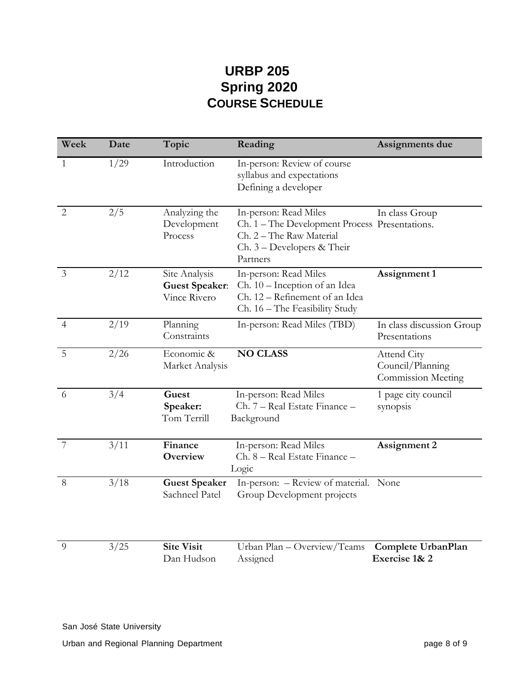# **URBP 205 Spring 2020 COURSE SCHEDULE**

| Week           | Date | Topic                                                  | Reading                                                                                                                                       | Assignments due                                              |
|----------------|------|--------------------------------------------------------|-----------------------------------------------------------------------------------------------------------------------------------------------|--------------------------------------------------------------|
| $\mathbf{1}$   | 1/29 | Introduction                                           | In-person: Review of course<br>syllabus and expectations<br>Defining a developer                                                              |                                                              |
| 2              | 2/5  | Analyzing the<br>Development<br>Process                | In-person: Read Miles<br>Ch. 1 – The Development Process Presentations.<br>Ch. 2 - The Raw Material<br>Ch. 3 – Developers & Their<br>Partners | In class Group                                               |
| 3              | 2/12 | Site Analysis<br><b>Guest Speaker:</b><br>Vince Rivero | In-person: Read Miles<br>Ch. 10 – Inception of an Idea<br>Ch. 12 - Refinement of an Idea<br>Ch. 16 – The Feasibility Study                    | Assignment 1                                                 |
| $\overline{4}$ | 2/19 | Planning<br>Constraints                                | In-person: Read Miles (TBD)                                                                                                                   | In class discussion Group<br>Presentations                   |
| 5              | 2/26 | Economic &<br>Market Analysis                          | <b>NO CLASS</b>                                                                                                                               | Attend City<br>Council/Planning<br><b>Commission Meeting</b> |
| 6              | 3/4  | Guest<br>Speaker:<br>Tom Terrill                       | In-person: Read Miles<br>Ch. 7 – Real Estate Finance –<br>Background                                                                          | 1 page city council<br>synopsis                              |
| 7              | 3/11 | Finance<br>Overview                                    | In-person: Read Miles<br>Ch. 8 - Real Estate Finance -<br>Logic                                                                               | Assignment 2                                                 |
| 8              | 3/18 | <b>Guest Speaker</b><br>Sachneel Patel                 | In-person: - Review of material. None<br>Group Development projects                                                                           |                                                              |
| 9              | 3/25 | <b>Site Visit</b><br>Dan Hudson                        | Urban Plan - Overview/Teams<br>Assigned                                                                                                       | Complete UrbanPlan<br>Exercise 1& 2                          |